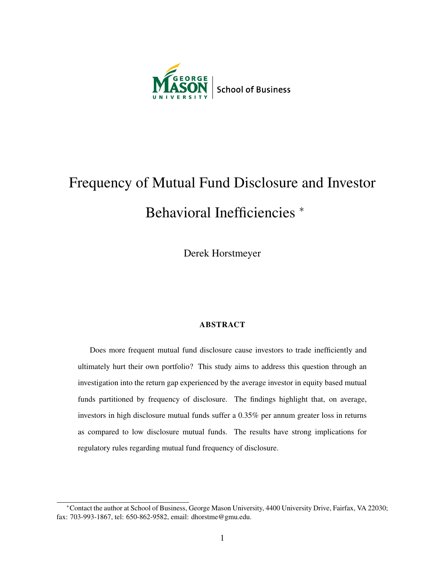

# Frequency of Mutual Fund Disclosure and Investor Behavioral Inefficiencies <sup>\*</sup>

Derek Horstmeyer

#### ABSTRACT

Does more frequent mutual fund disclosure cause investors to trade inefficiently and ultimately hurt their own portfolio? This study aims to address this question through an investigation into the return gap experienced by the average investor in equity based mutual funds partitioned by frequency of disclosure. The findings highlight that, on average, investors in high disclosure mutual funds suffer a 0.35% per annum greater loss in returns as compared to low disclosure mutual funds. The results have strong implications for regulatory rules regarding mutual fund frequency of disclosure.

<sup>∗</sup>Contact the author at School of Business, George Mason University, 4400 University Drive, Fairfax, VA 22030; fax: 703-993-1867, tel: 650-862-9582, email: dhorstme@gmu.edu.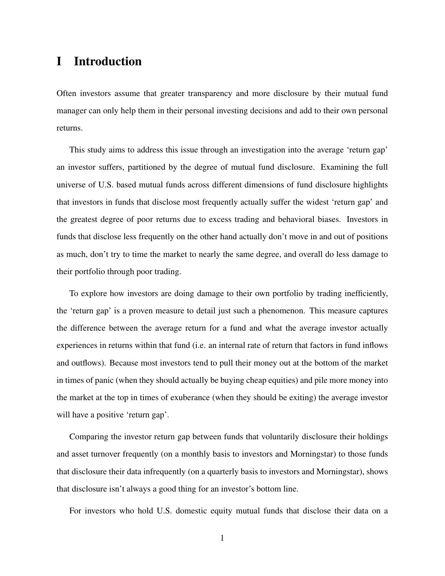# I Introduction

Often investors assume that greater transparency and more disclosure by their mutual fund manager can only help them in their personal investing decisions and add to their own personal returns.

This study aims to address this issue through an investigation into the average 'return gap' an investor suffers, partitioned by the degree of mutual fund disclosure. Examining the full universe of U.S. based mutual funds across different dimensions of fund disclosure highlights that investors in funds that disclose most frequently actually suffer the widest 'return gap' and the greatest degree of poor returns due to excess trading and behavioral biases. Investors in funds that disclose less frequently on the other hand actually don't move in and out of positions as much, don't try to time the market to nearly the same degree, and overall do less damage to their portfolio through poor trading.

To explore how investors are doing damage to their own portfolio by trading inefficiently, the 'return gap' is a proven measure to detail just such a phenomenon. This measure captures the difference between the average return for a fund and what the average investor actually experiences in returns within that fund (i.e. an internal rate of return that factors in fund inflows and outflows). Because most investors tend to pull their money out at the bottom of the market in times of panic (when they should actually be buying cheap equities) and pile more money into the market at the top in times of exuberance (when they should be exiting) the average investor will have a positive 'return gap'.

Comparing the investor return gap between funds that voluntarily disclosure their holdings and asset turnover frequently (on a monthly basis to investors and Morningstar) to those funds that disclosure their data infrequently (on a quarterly basis to investors and Morningstar), shows that disclosure isn't always a good thing for an investor's bottom line.

For investors who hold U.S. domestic equity mutual funds that disclose their data on a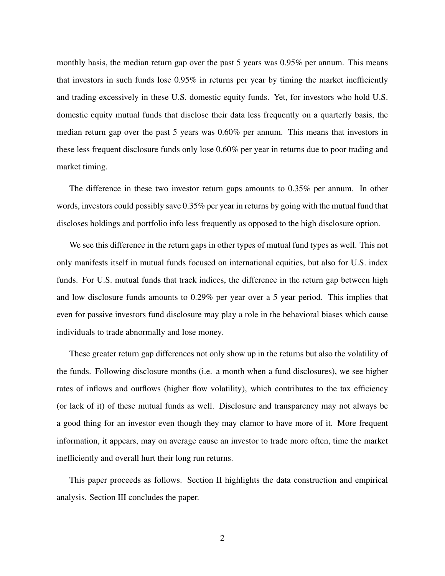monthly basis, the median return gap over the past 5 years was 0.95% per annum. This means that investors in such funds lose 0.95% in returns per year by timing the market inefficiently and trading excessively in these U.S. domestic equity funds. Yet, for investors who hold U.S. domestic equity mutual funds that disclose their data less frequently on a quarterly basis, the median return gap over the past 5 years was 0.60% per annum. This means that investors in these less frequent disclosure funds only lose 0.60% per year in returns due to poor trading and market timing.

The difference in these two investor return gaps amounts to 0.35% per annum. In other words, investors could possibly save 0.35% per year in returns by going with the mutual fund that discloses holdings and portfolio info less frequently as opposed to the high disclosure option.

We see this difference in the return gaps in other types of mutual fund types as well. This not only manifests itself in mutual funds focused on international equities, but also for U.S. index funds. For U.S. mutual funds that track indices, the difference in the return gap between high and low disclosure funds amounts to 0.29% per year over a 5 year period. This implies that even for passive investors fund disclosure may play a role in the behavioral biases which cause individuals to trade abnormally and lose money.

These greater return gap differences not only show up in the returns but also the volatility of the funds. Following disclosure months (i.e. a month when a fund disclosures), we see higher rates of inflows and outflows (higher flow volatility), which contributes to the tax efficiency (or lack of it) of these mutual funds as well. Disclosure and transparency may not always be a good thing for an investor even though they may clamor to have more of it. More frequent information, it appears, may on average cause an investor to trade more often, time the market inefficiently and overall hurt their long run returns.

This paper proceeds as follows. Section II highlights the data construction and empirical analysis. Section III concludes the paper.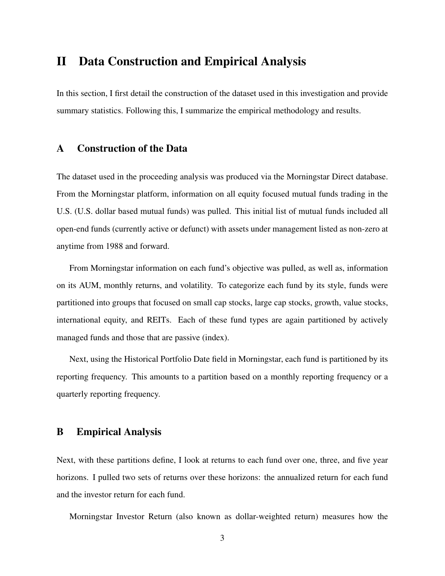## II Data Construction and Empirical Analysis

In this section, I first detail the construction of the dataset used in this investigation and provide summary statistics. Following this, I summarize the empirical methodology and results.

## A Construction of the Data

The dataset used in the proceeding analysis was produced via the Morningstar Direct database. From the Morningstar platform, information on all equity focused mutual funds trading in the U.S. (U.S. dollar based mutual funds) was pulled. This initial list of mutual funds included all open-end funds (currently active or defunct) with assets under management listed as non-zero at anytime from 1988 and forward.

From Morningstar information on each fund's objective was pulled, as well as, information on its AUM, monthly returns, and volatility. To categorize each fund by its style, funds were partitioned into groups that focused on small cap stocks, large cap stocks, growth, value stocks, international equity, and REITs. Each of these fund types are again partitioned by actively managed funds and those that are passive (index).

Next, using the Historical Portfolio Date field in Morningstar, each fund is partitioned by its reporting frequency. This amounts to a partition based on a monthly reporting frequency or a quarterly reporting frequency.

## B Empirical Analysis

Next, with these partitions define, I look at returns to each fund over one, three, and five year horizons. I pulled two sets of returns over these horizons: the annualized return for each fund and the investor return for each fund.

Morningstar Investor Return (also known as dollar-weighted return) measures how the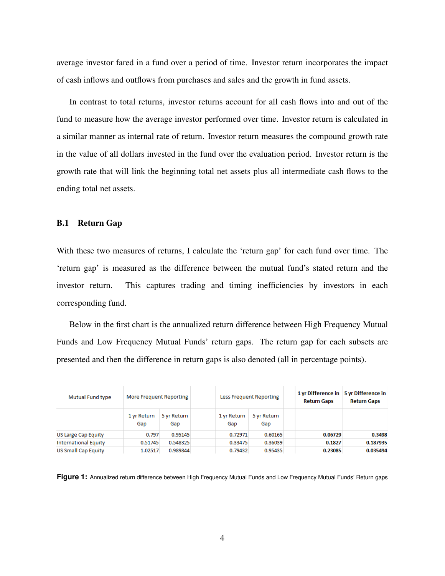average investor fared in a fund over a period of time. Investor return incorporates the impact of cash inflows and outflows from purchases and sales and the growth in fund assets.

In contrast to total returns, investor returns account for all cash flows into and out of the fund to measure how the average investor performed over time. Investor return is calculated in a similar manner as internal rate of return. Investor return measures the compound growth rate in the value of all dollars invested in the fund over the evaluation period. Investor return is the growth rate that will link the beginning total net assets plus all intermediate cash flows to the ending total net assets.

#### B.1 Return Gap

With these two measures of returns, I calculate the 'return gap' for each fund over time. The 'return gap' is measured as the difference between the mutual fund's stated return and the investor return. This captures trading and timing inefficiencies by investors in each corresponding fund.

Below in the first chart is the annualized return difference between High Frequency Mutual Funds and Low Frequency Mutual Funds' return gaps. The return gap for each subsets are presented and then the difference in return gaps is also denoted (all in percentage points).

| Mutual Fund type            | More Frequent Reporting |                    | Less Frequent Reporting |                    | <b>Return Gaps</b> | 1 yr Difference in   5 yr Difference in<br><b>Return Gaps</b> |
|-----------------------------|-------------------------|--------------------|-------------------------|--------------------|--------------------|---------------------------------------------------------------|
|                             | 1 yr Return<br>Gap      | 5 yr Return<br>Gap | 1 yr Return<br>Gap      | 5 yr Return<br>Gap |                    |                                                               |
| US Large Cap Equity         | 0.797                   | 0.95145            | 0.72971                 | 0.60165            | 0.06729            | 0.3498                                                        |
| <b>International Equity</b> | 0.51745                 | 0.548325           | 0.33475                 | 0.36039            | 0.1827             | 0.187935                                                      |
| <b>US Small Cap Equity</b>  | 1.02517                 | 0.989844           | 0.79432                 | 0.95435            | 0.23085            | 0.035494                                                      |

**Figure 1:** Annualized return difference between High Frequency Mutual Funds and Low Frequency Mutual Funds' Return gaps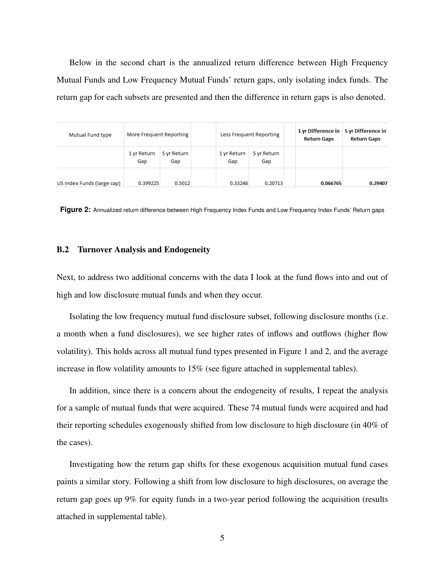Below in the second chart is the annualized return difference between High Frequency Mutual Funds and Low Frequency Mutual Funds' return gaps, only isolating index funds. The return gap for each subsets are presented and then the difference in return gaps is also denoted.

| Mutual Fund type           | More Frequent Reporting |                    | <b>Less Frequent Reporting</b> |                    |  | 1 yr Difference in 5 yr Difference in<br><b>Return Gaps</b> | <b>Return Gaps</b> |
|----------------------------|-------------------------|--------------------|--------------------------------|--------------------|--|-------------------------------------------------------------|--------------------|
|                            | 1 yr Return<br>Gap      | 5 yr Return<br>Gap | 1 yr Return<br>Gap             | 5 yr Return<br>Gap |  |                                                             |                    |
| US Index Funds (large cap) | 0.399225                | 0.5012             | 0.33246                        | 0.20713            |  | 0.066765                                                    | 0.29407            |

Figure 2: Annualized return difference between High Frequency Index Funds and Low Frequency Index Funds' Return gaps

#### B.2 Turnover Analysis and Endogeneity

Next, to address two additional concerns with the data I look at the fund flows into and out of high and low disclosure mutual funds and when they occur.

Isolating the low frequency mutual fund disclosure subset, following disclosure months (i.e. a month when a fund disclosures), we see higher rates of inflows and outflows (higher flow volatility). This holds across all mutual fund types presented in Figure 1 and 2, and the average increase in flow volatility amounts to 15% (see figure attached in supplemental tables).

In addition, since there is a concern about the endogeneity of results, I repeat the analysis for a sample of mutual funds that were acquired. These 74 mutual funds were acquired and had their reporting schedules exogenously shifted from low disclosure to high disclosure (in 40% of the cases).

Investigating how the return gap shifts for these exogenous acquisition mutual fund cases paints a similar story. Following a shift from low disclosure to high disclosures, on average the return gap goes up 9% for equity funds in a two-year period following the acquisition (results attached in supplemental table).